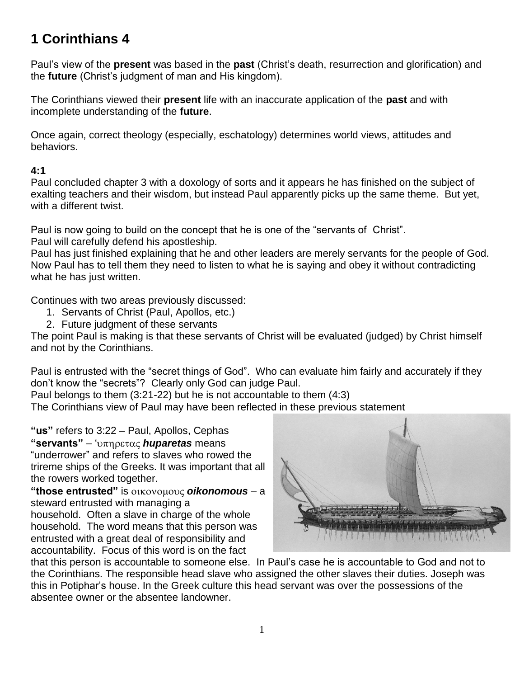# **1 Corinthians 4**

Paul's view of the **present** was based in the **past** (Christ's death, resurrection and glorification) and the **future** (Christ's judgment of man and His kingdom).

The Corinthians viewed their **present** life with an inaccurate application of the **past** and with incomplete understanding of the **future**.

Once again, correct theology (especially, eschatology) determines world views, attitudes and behaviors.

#### **4:1**

Paul concluded chapter 3 with a doxology of sorts and it appears he has finished on the subject of exalting teachers and their wisdom, but instead Paul apparently picks up the same theme. But yet, with a different twist.

Paul is now going to build on the concept that he is one of the "servants of Christ".

Paul will carefully defend his apostleship.

Paul has just finished explaining that he and other leaders are merely servants for the people of God. Now Paul has to tell them they need to listen to what he is saying and obey it without contradicting what he has just written.

Continues with two areas previously discussed:

- 1. Servants of Christ (Paul, Apollos, etc.)
- 2. Future judgment of these servants

The point Paul is making is that these servants of Christ will be evaluated (judged) by Christ himself and not by the Corinthians.

Paul is entrusted with the "secret things of God". Who can evaluate him fairly and accurately if they don't know the "secrets"? Clearly only God can judge Paul.

Paul belongs to them (3:21-22) but he is not accountable to them (4:3) The Corinthians view of Paul may have been reflected in these previous statement

**"us"** refers to 3:22 – Paul, Apollos, Cephas

**"servants"** – ' *huparetas* means "underrower" and refers to slaves who rowed the trireme ships of the Greeks. It was important that all the rowers worked together.

**"those entrusted"** is *oikonomous* – a steward entrusted with managing a

household. Often a slave in charge of the whole household. The word means that this person was entrusted with a great deal of responsibility and accountability. Focus of this word is on the fact



that this person is accountable to someone else. In Paul's case he is accountable to God and not to the Corinthians. The responsible head slave who assigned the other slaves their duties. Joseph was this in Potiphar's house. In the Greek culture this head servant was over the possessions of the absentee owner or the absentee landowner.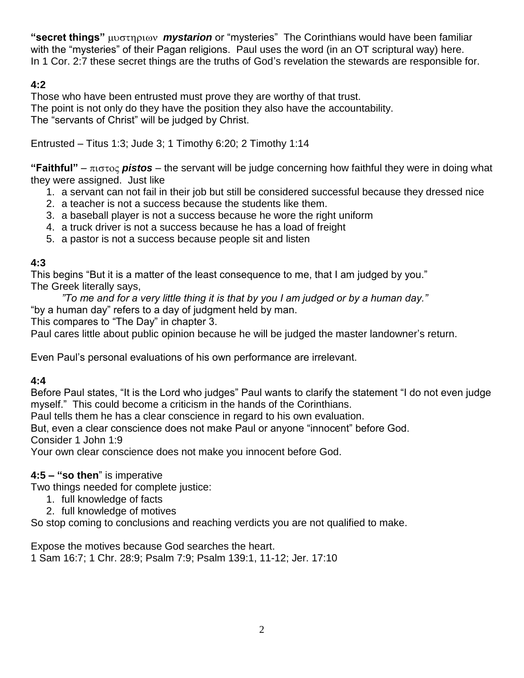**"secret things"** *mystarion* or "mysteries" The Corinthians would have been familiar with the "mysteries" of their Pagan religions. Paul uses the word (in an OT scriptural way) here. In 1 Cor. 2:7 these secret things are the truths of God's revelation the stewards are responsible for.

## **4:2**

Those who have been entrusted must prove they are worthy of that trust. The point is not only do they have the position they also have the accountability. The "servants of Christ" will be judged by Christ.

Entrusted – Titus 1:3; Jude 3; 1 Timothy 6:20; 2 Timothy 1:14

"Faithful" –  $\pi$ <sub>1</sub> $\sigma$ <sub>10</sub> $\sigma$  pistos – the servant will be judge concerning how faithful they were in doing what they were assigned. Just like

- 1. a servant can not fail in their job but still be considered successful because they dressed nice
- 2. a teacher is not a success because the students like them.
- 3. a baseball player is not a success because he wore the right uniform
- 4. a truck driver is not a success because he has a load of freight
- 5. a pastor is not a success because people sit and listen

## **4:3**

This begins "But it is a matter of the least consequence to me, that I am judged by you." The Greek literally says,

*"To me and for a very little thing it is that by you I am judged or by a human day."* "by a human day" refers to a day of judgment held by man.

This compares to "The Day" in chapter 3.

Paul cares little about public opinion because he will be judged the master landowner's return.

Even Paul's personal evaluations of his own performance are irrelevant.

## **4:4**

Before Paul states, "It is the Lord who judges" Paul wants to clarify the statement "I do not even judge myself." This could become a criticism in the hands of the Corinthians.

Paul tells them he has a clear conscience in regard to his own evaluation.

But, even a clear conscience does not make Paul or anyone "innocent" before God.

Consider 1 John 1:9

Your own clear conscience does not make you innocent before God.

## **4:5 – "so then**" is imperative

Two things needed for complete justice:

- 1. full knowledge of facts
- 2. full knowledge of motives

So stop coming to conclusions and reaching verdicts you are not qualified to make.

Expose the motives because God searches the heart.

1 Sam 16:7; 1 Chr. 28:9; Psalm 7:9; Psalm 139:1, 11-12; Jer. 17:10